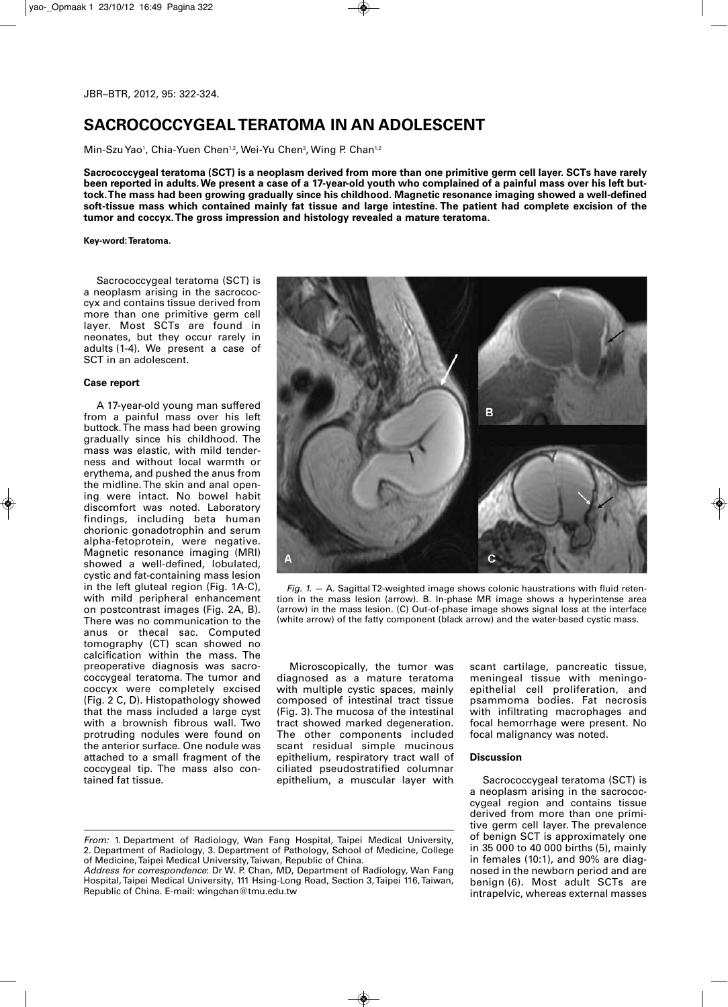## **SACROCOCCYGEAL TERATOMA IN AN ADOLESCENT**

Min-Szu Yao<sup>1</sup>, Chia-Yuen Chen<sup>1,2</sup>, Wei-Yu Chen<sup>3</sup>, Wing P. Chan<sup>1,2</sup>

Sacrococcygeal teratoma (SCT) is a neoplasm derived from more than one primitive germ cell laver. SCTs have rarely been reported in adults. We present a case of a 17-year-old youth who complained of a painful mass over his left but**tock.The mass had been growing gradually since his childhood. Magnetic resonance imaging showed a well-defined** soft-tissue mass which contained mainly fat tissue and large intestine. The patient had complete excision of the **tumor and coccyx.The gross impression and histology revealed a mature teratoma.**

**Key-word:Teratoma.**

Sacrococcygeal teratoma (SCT) is a neoplasm arising in the sacrococcyx and contains tissue derived from more than one primitive germ cell layer. Most SCTs are found in neonates, but they occur rarely in adults (1-4). We present a case of SCT in an adolescent.

## **Case report**

A 17-year-old young man suffered from a painful mass over his left buttock.The mass had been growing gradually since his childhood. The mass was elastic, with mild tenderness and without local warmth or erythema, and pushed the anus from the midline. The skin and anal opening were intact. No bowel habit discomfort was noted. Laboratory findings, including beta human chorionic gonadotrophin and serum alpha-fetoprotein, were negative. Magnetic resonance imaging (MRI) showed a well-defined, lobulated, cystic and fat-containing mass lesion in the left gluteal region (Fig. 1A-C), with mild peripheral enhancement on postcontrast images (Fig. 2A, B). There was no communication to the anus or thecal sac. Computed tomography (CT) scan showed no calcification within the mass. The preoperative diagnosis was sacrococcygeal teratoma. The tumor and coccyx were completely excised (Fig. 2 C, D). Histopathology showed that the mass included a large cyst with a brownish fibrous wall. Two protruding nodules were found on the anterior surface. One nodule was attached to a small fragment of the coccygeal tip. The mass also contained fat tissue.



*Fig. 1.* — A. SagittalT2-weighted image shows colonic haustrations with fluid retention in the mass lesion (arrow). B. In-phase MR image shows a hyperintense area (arrow) in the mass lesion. (C) Out-of-phase image shows signal loss at the interface (white arrow) of the fatty component (black arrow) and the water-based cystic mass.

Microscopically, the tumor was diagnosed as a mature teratoma with multiple cystic spaces, mainly composed of intestinal tract tissue (Fig. 3). The mucosa of the intestinal tract showed marked degeneration. The other components included scant residual simple mucinous epithelium, respiratory tract wall of ciliated pseudostratified columnar epithelium, a muscular layer with

scant cartilage, pancreatic tissue, meningeal tissue with meningoepithelial cell proliferation, and psammoma bodies. Fat necrosis with infiltrating macrophages and focal hemorrhage were present. No focal malignancy was noted.

## **Discussion**

Sacrococcygeal teratoma (SCT) is a neoplasm arising in the sacrococcygeal region and contains tissue derived from more than one primitive germ cell layer. The prevalence of benign SCT is approximately one in 35 000 to 40 000 births (5), mainly in females (10:1), and 90% are diagnosed in the newborn period and are benign (6). Most adult SCTs are intrapelvic, whereas external masses

*From:* 1. Department of Radiology, Wan Fang Hospital, Taipei Medical University, 2. Department of Radiology, 3. Department of Pathology, School of Medicine, College of Medicine,Taipei Medical University,Taiwan, Republic of China.

*Address for correspondence*: Dr W. P. Chan, MD, Department of Radiology, Wan Fang Hospital,Taipei Medical University, 111 Hsing-Long Road, Section 3,Taipei 116,Taiwan, Republic of China. E-mail: wingchan@tmu.edu.tw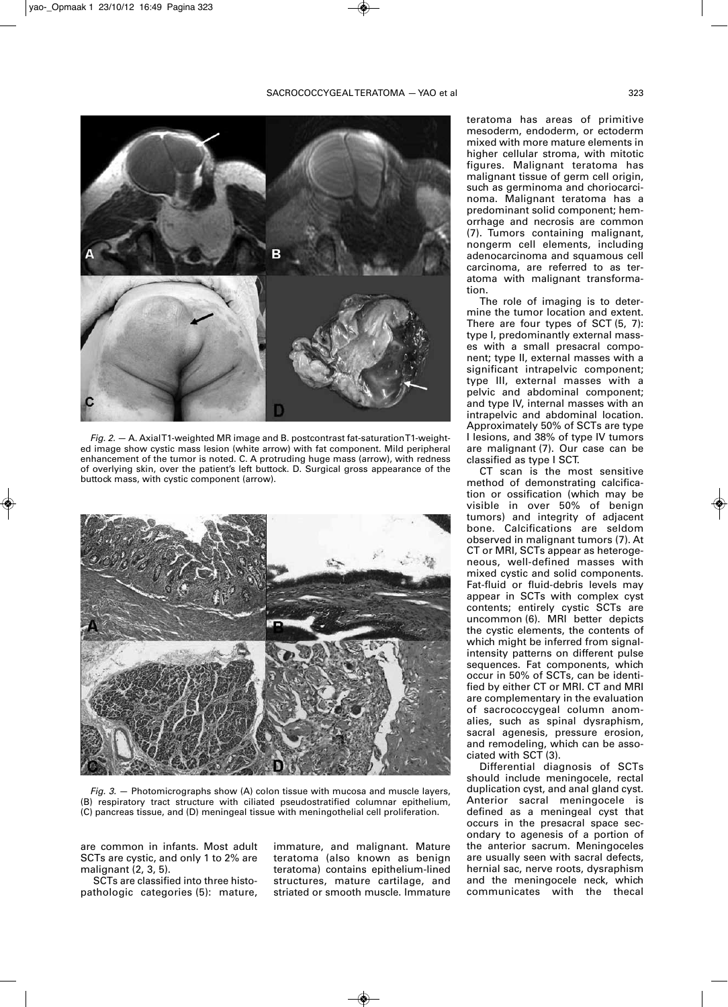

*Fig. 2.* — A. AxialT1-weighted MR image and B. postcontrast fat-saturationT1-weighted image show cystic mass lesion (white arrow) with fat component. Mild peripheral enhancement of the tumor is noted. C. A protruding huge mass (arrow), with redness of overlying skin, over the patient's left buttock. D. Surgical gross appearance of the buttock mass, with cystic component (arrow).



*Fig. 3.* — Photomicrographs show (A) colon tissue with mucosa and muscle layers, (B) respiratory tract structure with ciliated pseudostratified columnar epithelium, (C) pancreas tissue, and (D) meningeal tissue with meningothelial cell proliferation.

are common in infants. Most adult SCTs are cystic, and only 1 to 2% are malignant (2, 3, 5).

SCTs are classified into three histopathologic categories (5): mature,

immature, and malignant. Mature teratoma (also known as benign teratoma) contains epithelium-lined structures, mature cartilage, and striated or smooth muscle. Immature teratoma has areas of primitive mesoderm, endoderm, or ectoderm mixed with more mature elements in higher cellular stroma, with mitotic figures. Malignant teratoma has malignant tissue of germ cell origin, such as germinoma and choriocarcinoma. Malignant teratoma has a predominant solid component; hemorrhage and necrosis are common (7). Tumors containing malignant, nongerm cell elements, including adenocarcinoma and squamous cell carcinoma, are referred to as teratoma with malignant transformation.

The role of imaging is to determine the tumor location and extent. There are four types of SCT (5, 7): type I, predominantly external masses with a small presacral component; type II, external masses with a significant intrapelvic component; type III, external masses with a pelvic and abdominal component; and type IV, internal masses with an intrapelvic and abdominal location. Approximately 50% of SCTs are type I lesions, and 38% of type IV tumors are malignant (7). Our case can be classified as type I SCT.

CT scan is the most sensitive method of demonstrating calcification or ossification (which may be visible in over 50% of benign tumors) and integrity of adjacent bone. Calcifications are seldom observed in malignant tumors (7). At CT or MRI, SCTs appear as heterogeneous, well-defined masses with mixed cystic and solid components. Fat-fluid or fluid-debris levels may appear in SCTs with complex cyst contents; entirely cystic SCTs are uncommon (6). MRI better depicts the cystic elements, the contents of which might be inferred from signalintensity patterns on different pulse sequences. Fat components, which occur in 50% of SCTs, can be identified by either CT or MRI. CT and MRI are complementary in the evaluation of sacrococcygeal column anomalies, such as spinal dysraphism, sacral agenesis, pressure erosion, and remodeling, which can be associated with SCT (3).

Differential diagnosis of SCTs should include meningocele, rectal duplication cyst, and anal gland cyst. Anterior sacral meningocele is defined as a meningeal cyst that occurs in the presacral space secondary to agenesis of a portion of the anterior sacrum. Meningoceles are usually seen with sacral defects, hernial sac, nerve roots, dysraphism and the meningocele neck, which communicates with the thecal